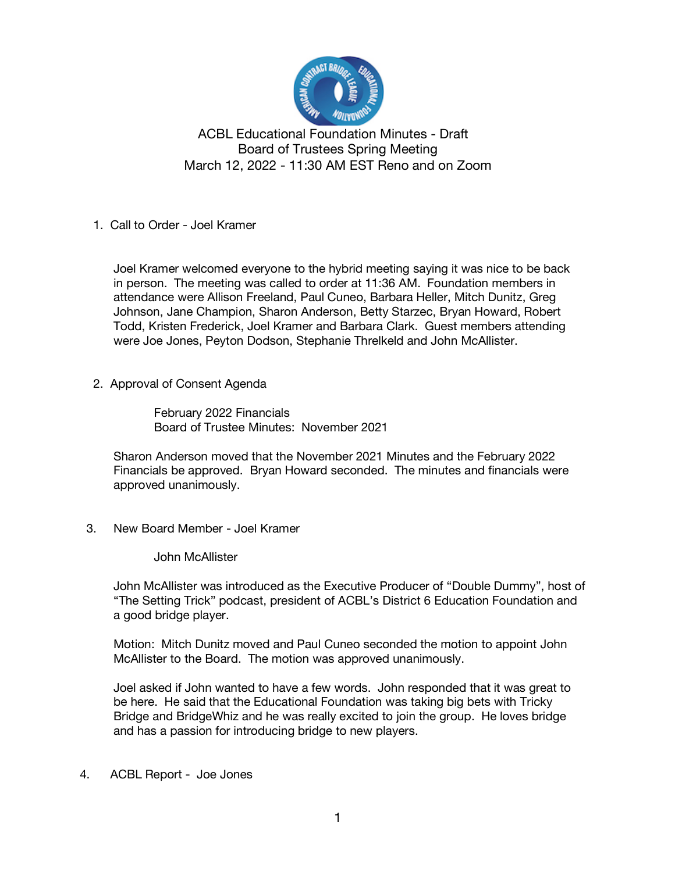

1. Call to Order - Joel Kramer

 Joel Kramer welcomed everyone to the hybrid meeting saying it was nice to be back in person. The meeting was called to order at 11:36 AM. Foundation members in attendance were Allison Freeland, Paul Cuneo, Barbara Heller, Mitch Dunitz, Greg Johnson, Jane Champion, Sharon Anderson, Betty Starzec, Bryan Howard, Robert Todd, Kristen Frederick, Joel Kramer and Barbara Clark. Guest members attending were Joe Jones, Peyton Dodson, Stephanie Threlkeld and John McAllister.

2. Approval of Consent Agenda

 February 2022 Financials Board of Trustee Minutes: November 2021

 Sharon Anderson moved that the November 2021 Minutes and the February 2022 Financials be approved. Bryan Howard seconded. The minutes and financials were approved unanimously.

3. New Board Member - Joel Kramer

John McAllister

 John McAllister was introduced as the Executive Producer of "Double Dummy", host of "The Setting Trick" podcast, president of ACBL's District 6 Education Foundation and a good bridge player.

 Motion: Mitch Dunitz moved and Paul Cuneo seconded the motion to appoint John McAllister to the Board. The motion was approved unanimously.

 Joel asked if John wanted to have a few words. John responded that it was great to be here. He said that the Educational Foundation was taking big bets with Tricky Bridge and BridgeWhiz and he was really excited to join the group. He loves bridge and has a passion for introducing bridge to new players.

4. ACBL Report - Joe Jones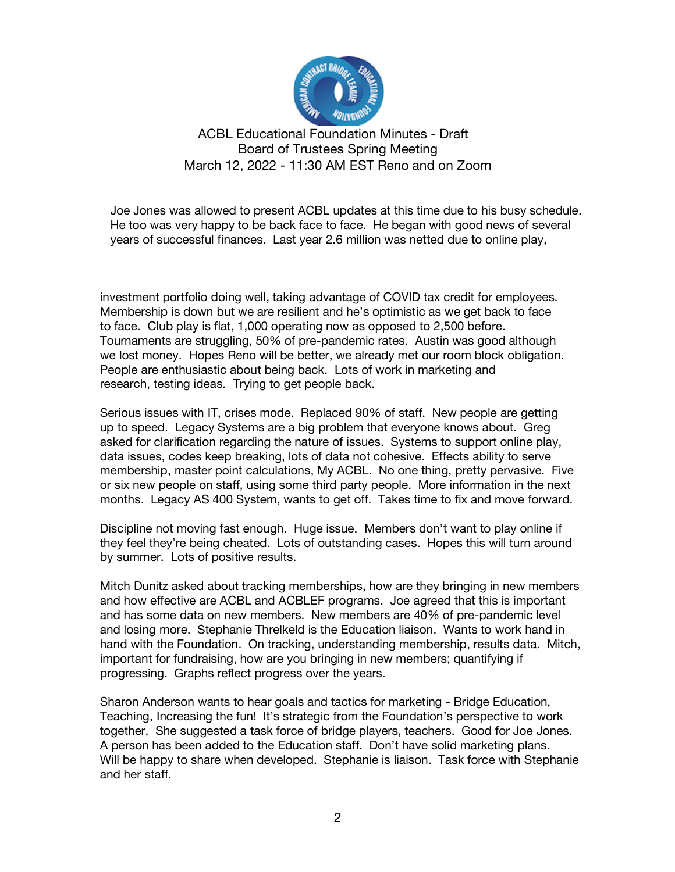

 Joe Jones was allowed to present ACBL updates at this time due to his busy schedule. He too was very happy to be back face to face. He began with good news of several years of successful finances. Last year 2.6 million was netted due to online play,

 investment portfolio doing well, taking advantage of COVID tax credit for employees. Membership is down but we are resilient and he's optimistic as we get back to face to face. Club play is flat, 1,000 operating now as opposed to 2,500 before. Tournaments are struggling, 50% of pre-pandemic rates. Austin was good although we lost money. Hopes Reno will be better, we already met our room block obligation. People are enthusiastic about being back. Lots of work in marketing and research, testing ideas. Trying to get people back.

 Serious issues with IT, crises mode. Replaced 90% of staff. New people are getting up to speed. Legacy Systems are a big problem that everyone knows about. Greg asked for clarification regarding the nature of issues. Systems to support online play, data issues, codes keep breaking, lots of data not cohesive. Effects ability to serve membership, master point calculations, My ACBL. No one thing, pretty pervasive. Five or six new people on staff, using some third party people. More information in the next months. Legacy AS 400 System, wants to get off. Takes time to fix and move forward.

 Discipline not moving fast enough. Huge issue. Members don't want to play online if they feel they're being cheated. Lots of outstanding cases. Hopes this will turn around by summer. Lots of positive results.

 Mitch Dunitz asked about tracking memberships, how are they bringing in new members and how effective are ACBL and ACBLEF programs. Joe agreed that this is important and has some data on new members. New members are 40% of pre-pandemic level and losing more. Stephanie Threlkeld is the Education liaison. Wants to work hand in hand with the Foundation. On tracking, understanding membership, results data. Mitch, important for fundraising, how are you bringing in new members; quantifying if progressing. Graphs reflect progress over the years.

 Sharon Anderson wants to hear goals and tactics for marketing - Bridge Education, Teaching, Increasing the fun! It's strategic from the Foundation's perspective to work together. She suggested a task force of bridge players, teachers. Good for Joe Jones. A person has been added to the Education staff. Don't have solid marketing plans. Will be happy to share when developed. Stephanie is liaison. Task force with Stephanie and her staff.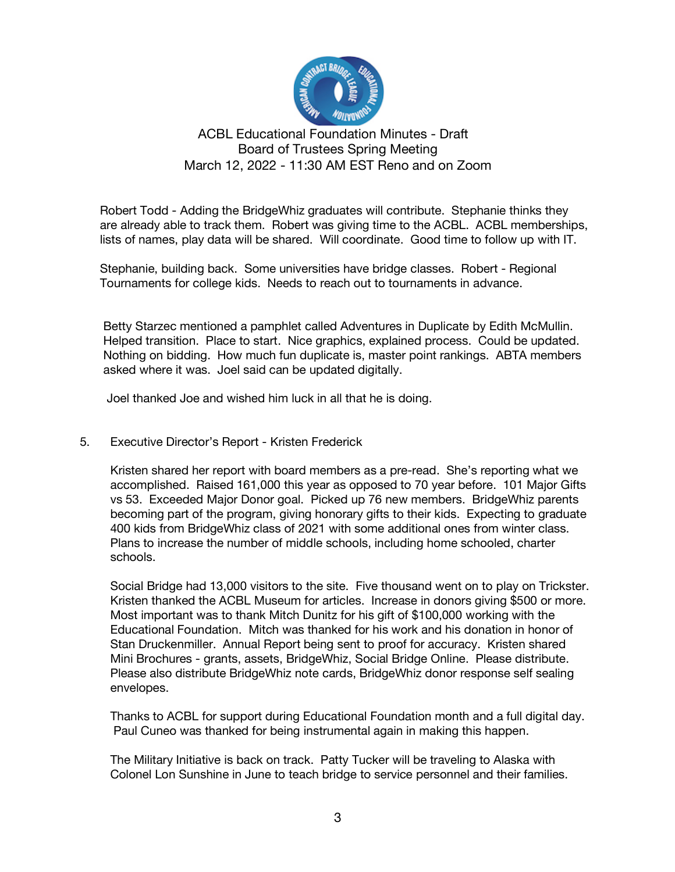

 Robert Todd - Adding the BridgeWhiz graduates will contribute. Stephanie thinks they are already able to track them. Robert was giving time to the ACBL. ACBL memberships, lists of names, play data will be shared. Will coordinate. Good time to follow up with IT.

 Stephanie, building back. Some universities have bridge classes. Robert - Regional Tournaments for college kids. Needs to reach out to tournaments in advance.

 Betty Starzec mentioned a pamphlet called Adventures in Duplicate by Edith McMullin. Helped transition. Place to start. Nice graphics, explained process. Could be updated. Nothing on bidding. How much fun duplicate is, master point rankings. ABTA members asked where it was. Joel said can be updated digitally.

Joel thanked Joe and wished him luck in all that he is doing.

5. Executive Director's Report - Kristen Frederick

 Kristen shared her report with board members as a pre-read. She's reporting what we accomplished. Raised 161,000 this year as opposed to 70 year before. 101 Major Gifts vs 53. Exceeded Major Donor goal. Picked up 76 new members. BridgeWhiz parents becoming part of the program, giving honorary gifts to their kids. Expecting to graduate 400 kids from BridgeWhiz class of 2021 with some additional ones from winter class. Plans to increase the number of middle schools, including home schooled, charter schools.

 Social Bridge had 13,000 visitors to the site. Five thousand went on to play on Trickster. Kristen thanked the ACBL Museum for articles. Increase in donors giving \$500 or more. Most important was to thank Mitch Dunitz for his gift of \$100,000 working with the Educational Foundation. Mitch was thanked for his work and his donation in honor of Stan Druckenmiller. Annual Report being sent to proof for accuracy. Kristen shared Mini Brochures - grants, assets, BridgeWhiz, Social Bridge Online. Please distribute. Please also distribute BridgeWhiz note cards, BridgeWhiz donor response self sealing envelopes.

 Thanks to ACBL for support during Educational Foundation month and a full digital day. Paul Cuneo was thanked for being instrumental again in making this happen.

 The Military Initiative is back on track. Patty Tucker will be traveling to Alaska with Colonel Lon Sunshine in June to teach bridge to service personnel and their families.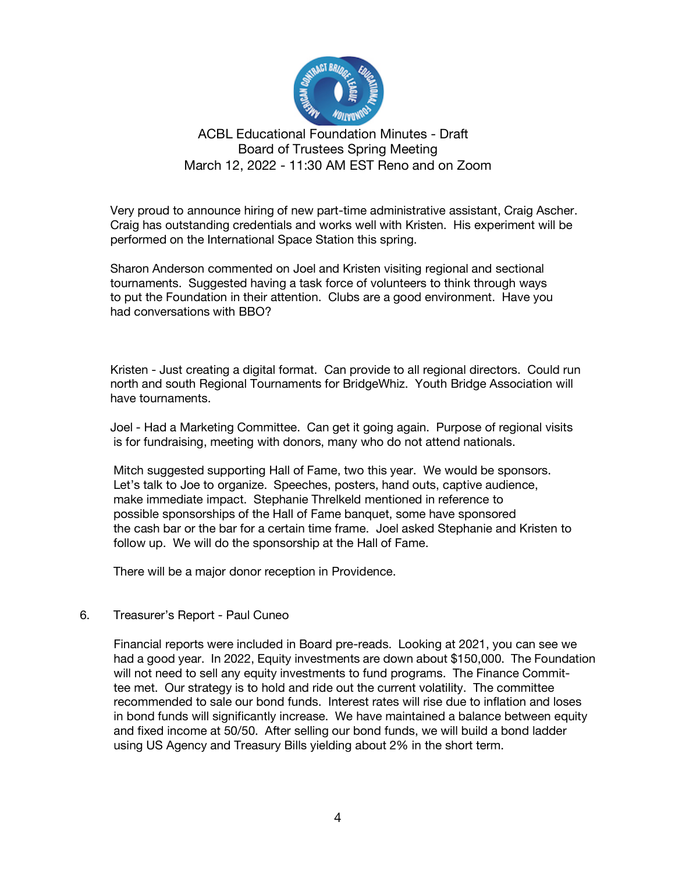

 Very proud to announce hiring of new part-time administrative assistant, Craig Ascher. Craig has outstanding credentials and works well with Kristen. His experiment will be performed on the International Space Station this spring.

 Sharon Anderson commented on Joel and Kristen visiting regional and sectional tournaments. Suggested having a task force of volunteers to think through ways to put the Foundation in their attention. Clubs are a good environment. Have you had conversations with BBO?

 Kristen - Just creating a digital format. Can provide to all regional directors. Could run north and south Regional Tournaments for BridgeWhiz. Youth Bridge Association will have tournaments.

 Joel - Had a Marketing Committee. Can get it going again. Purpose of regional visits is for fundraising, meeting with donors, many who do not attend nationals.

 Mitch suggested supporting Hall of Fame, two this year. We would be sponsors. Let's talk to Joe to organize. Speeches, posters, hand outs, captive audience, make immediate impact. Stephanie Threlkeld mentioned in reference to possible sponsorships of the Hall of Fame banquet, some have sponsored the cash bar or the bar for a certain time frame. Joel asked Stephanie and Kristen to follow up. We will do the sponsorship at the Hall of Fame.

There will be a major donor reception in Providence.

#### 6. Treasurer's Report - Paul Cuneo

Financial reports were included in Board pre-reads. Looking at 2021, you can see we had a good year. In 2022, Equity investments are down about \$150,000. The Foundation will not need to sell any equity investments to fund programs. The Finance Committee met. Our strategy is to hold and ride out the current volatility. The committee recommended to sale our bond funds. Interest rates will rise due to inflation and loses in bond funds will significantly increase. We have maintained a balance between equity and fixed income at 50/50. After selling our bond funds, we will build a bond ladder using US Agency and Treasury Bills yielding about 2% in the short term.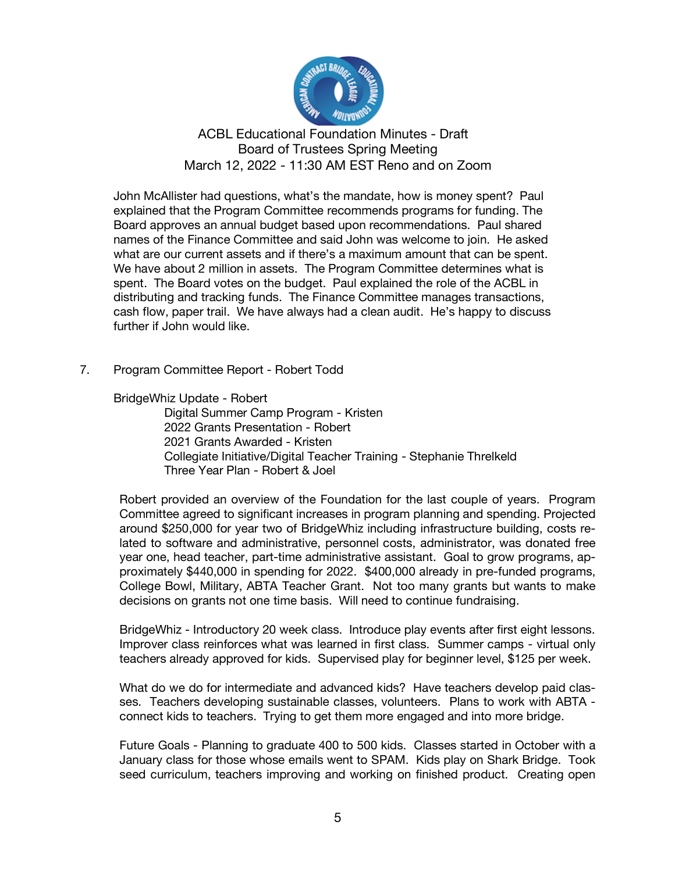

 John McAllister had questions, what's the mandate, how is money spent? Paul explained that the Program Committee recommends programs for funding. The Board approves an annual budget based upon recommendations. Paul shared names of the Finance Committee and said John was welcome to join. He asked what are our current assets and if there's a maximum amount that can be spent. We have about 2 million in assets. The Program Committee determines what is spent. The Board votes on the budget. Paul explained the role of the ACBL in distributing and tracking funds. The Finance Committee manages transactions, cash flow, paper trail. We have always had a clean audit. He's happy to discuss further if John would like.

7. Program Committee Report - Robert Todd

BridgeWhiz Update - Robert

 Digital Summer Camp Program - Kristen 2022 Grants Presentation - Robert 2021 Grants Awarded - Kristen Collegiate Initiative/Digital Teacher Training - Stephanie Threlkeld Three Year Plan - Robert & Joel

Robert provided an overview of the Foundation for the last couple of years. Program Committee agreed to significant increases in program planning and spending. Projected around \$250,000 for year two of BridgeWhiz including infrastructure building, costs related to software and administrative, personnel costs, administrator, was donated free year one, head teacher, part-time administrative assistant. Goal to grow programs, approximately \$440,000 in spending for 2022. \$400,000 already in pre-funded programs, College Bowl, Military, ABTA Teacher Grant. Not too many grants but wants to make decisions on grants not one time basis. Will need to continue fundraising.

BridgeWhiz - Introductory 20 week class. Introduce play events after first eight lessons. Improver class reinforces what was learned in first class. Summer camps - virtual only teachers already approved for kids. Supervised play for beginner level, \$125 per week.

What do we do for intermediate and advanced kids? Have teachers develop paid classes. Teachers developing sustainable classes, volunteers. Plans to work with ABTA connect kids to teachers. Trying to get them more engaged and into more bridge.

Future Goals - Planning to graduate 400 to 500 kids. Classes started in October with a January class for those whose emails went to SPAM. Kids play on Shark Bridge. Took seed curriculum, teachers improving and working on finished product. Creating open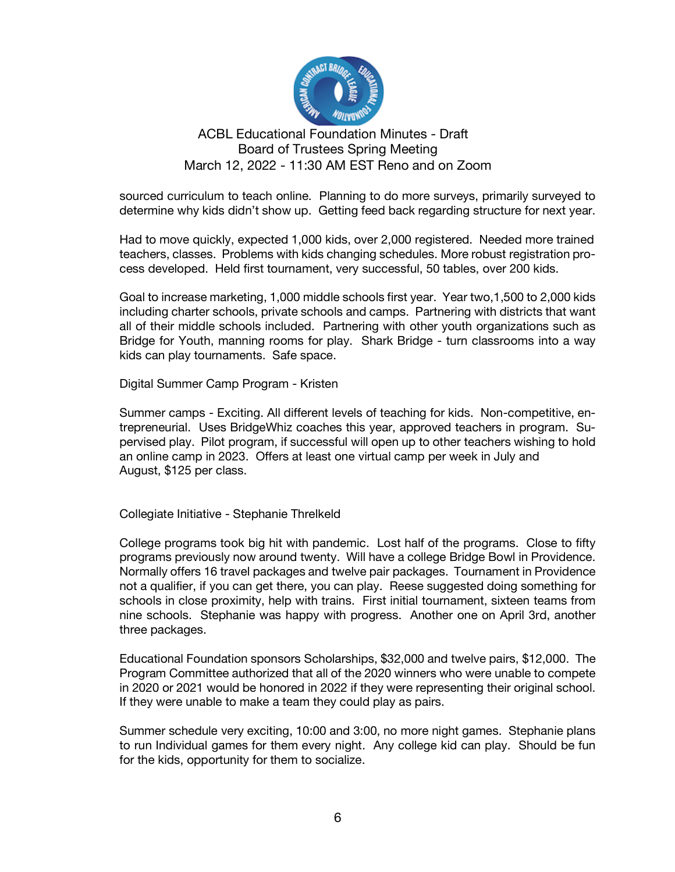

sourced curriculum to teach online. Planning to do more surveys, primarily surveyed to determine why kids didn't show up. Getting feed back regarding structure for next year.

Had to move quickly, expected 1,000 kids, over 2,000 registered. Needed more trained teachers, classes. Problems with kids changing schedules. More robust registration process developed. Held first tournament, very successful, 50 tables, over 200 kids.

Goal to increase marketing, 1,000 middle schools first year. Year two,1,500 to 2,000 kids including charter schools, private schools and camps. Partnering with districts that want all of their middle schools included. Partnering with other youth organizations such as Bridge for Youth, manning rooms for play. Shark Bridge - turn classrooms into a way kids can play tournaments. Safe space.

Digital Summer Camp Program - Kristen

Summer camps - Exciting. All different levels of teaching for kids. Non-competitive, entrepreneurial. Uses BridgeWhiz coaches this year, approved teachers in program. Supervised play. Pilot program, if successful will open up to other teachers wishing to hold an online camp in 2023. Offers at least one virtual camp per week in July and August, \$125 per class.

Collegiate Initiative - Stephanie Threlkeld

College programs took big hit with pandemic. Lost half of the programs. Close to fifty programs previously now around twenty. Will have a college Bridge Bowl in Providence. Normally offers 16 travel packages and twelve pair packages. Tournament in Providence not a qualifier, if you can get there, you can play. Reese suggested doing something for schools in close proximity, help with trains. First initial tournament, sixteen teams from nine schools. Stephanie was happy with progress. Another one on April 3rd, another three packages.

Educational Foundation sponsors Scholarships, \$32,000 and twelve pairs, \$12,000. The Program Committee authorized that all of the 2020 winners who were unable to compete in 2020 or 2021 would be honored in 2022 if they were representing their original school. If they were unable to make a team they could play as pairs.

Summer schedule very exciting, 10:00 and 3:00, no more night games. Stephanie plans to run Individual games for them every night. Any college kid can play. Should be fun for the kids, opportunity for them to socialize.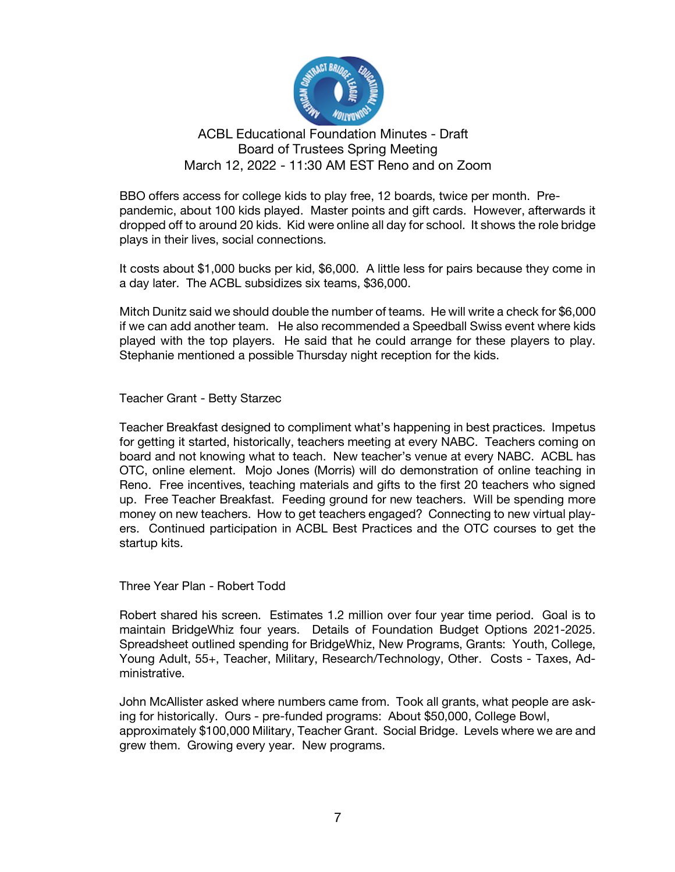

BBO offers access for college kids to play free, 12 boards, twice per month. Prepandemic, about 100 kids played. Master points and gift cards. However, afterwards it dropped off to around 20 kids. Kid were online all day for school. It shows the role bridge plays in their lives, social connections.

It costs about \$1,000 bucks per kid, \$6,000. A little less for pairs because they come in a day later. The ACBL subsidizes six teams, \$36,000.

Mitch Dunitz said we should double the number of teams. He will write a check for \$6,000 if we can add another team. He also recommended a Speedball Swiss event where kids played with the top players. He said that he could arrange for these players to play. Stephanie mentioned a possible Thursday night reception for the kids.

Teacher Grant - Betty Starzec

Teacher Breakfast designed to compliment what's happening in best practices. Impetus for getting it started, historically, teachers meeting at every NABC. Teachers coming on board and not knowing what to teach. New teacher's venue at every NABC. ACBL has OTC, online element. Mojo Jones (Morris) will do demonstration of online teaching in Reno. Free incentives, teaching materials and gifts to the first 20 teachers who signed up. Free Teacher Breakfast. Feeding ground for new teachers. Will be spending more money on new teachers. How to get teachers engaged? Connecting to new virtual players. Continued participation in ACBL Best Practices and the OTC courses to get the startup kits.

Three Year Plan - Robert Todd

Robert shared his screen. Estimates 1.2 million over four year time period. Goal is to maintain BridgeWhiz four years. Details of Foundation Budget Options 2021-2025. Spreadsheet outlined spending for BridgeWhiz, New Programs, Grants: Youth, College, Young Adult, 55+, Teacher, Military, Research/Technology, Other. Costs - Taxes, Administrative.

John McAllister asked where numbers came from. Took all grants, what people are asking for historically. Ours - pre-funded programs: About \$50,000, College Bowl, approximately \$100,000 Military, Teacher Grant. Social Bridge. Levels where we are and grew them. Growing every year. New programs.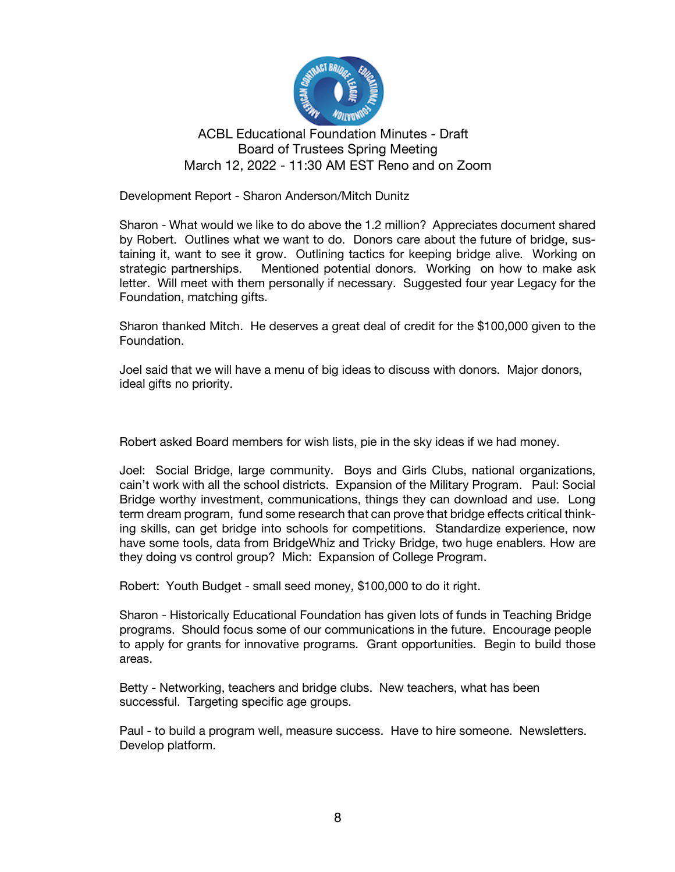

Development Report - Sharon Anderson/Mitch Dunitz

Sharon - What would we like to do above the 1.2 million? Appreciates document shared by Robert. Outlines what we want to do. Donors care about the future of bridge, sustaining it, want to see it grow. Outlining tactics for keeping bridge alive. Working on strategic partnerships. Mentioned potential donors. Working on how to make ask letter. Will meet with them personally if necessary. Suggested four year Legacy for the Foundation, matching gifts.

Sharon thanked Mitch. He deserves a great deal of credit for the \$100,000 given to the Foundation.

Joel said that we will have a menu of big ideas to discuss with donors. Major donors, ideal gifts no priority.

Robert asked Board members for wish lists, pie in the sky ideas if we had money.

Joel: Social Bridge, large community. Boys and Girls Clubs, national organizations, cain't work with all the school districts. Expansion of the Military Program. Paul: Social Bridge worthy investment, communications, things they can download and use. Long term dream program, fund some research that can prove that bridge effects critical thinking skills, can get bridge into schools for competitions. Standardize experience, now have some tools, data from BridgeWhiz and Tricky Bridge, two huge enablers. How are they doing vs control group? Mich: Expansion of College Program.

Robert: Youth Budget - small seed money, \$100,000 to do it right.

Sharon - Historically Educational Foundation has given lots of funds in Teaching Bridge programs. Should focus some of our communications in the future. Encourage people to apply for grants for innovative programs. Grant opportunities. Begin to build those areas.

Betty - Networking, teachers and bridge clubs. New teachers, what has been successful. Targeting specific age groups.

Paul - to build a program well, measure success. Have to hire someone. Newsletters. Develop platform.